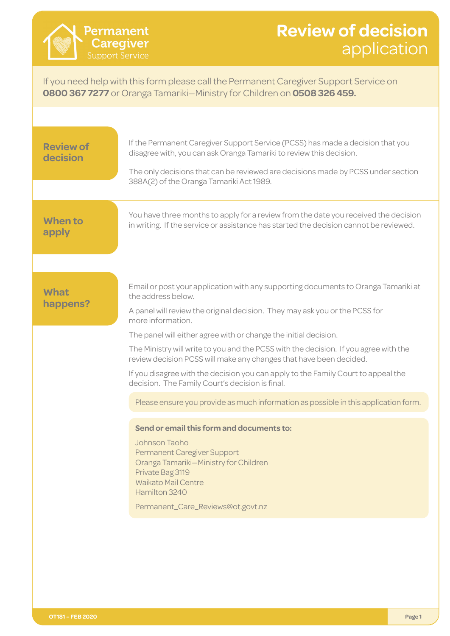## **Review of decision** application application

If you need help with this form please call the Permanent Caregiver Support Service on **0800 367 7277** or Oranga Tamariki—Ministry for Children on **0508 326 459.**

| <b>Review of</b><br>decision | If the Permanent Caregiver Support Service (PCSS) has made a decision that you<br>disagree with, you can ask Oranga Tamariki to review this decision.<br>The only decisions that can be reviewed are decisions made by PCSS under section<br>388A(2) of the Oranga Tamariki Act 1989.                                                                                                                                                                                                                                                                                                                                                                                                                                                                                                                                                                                                                                              |
|------------------------------|------------------------------------------------------------------------------------------------------------------------------------------------------------------------------------------------------------------------------------------------------------------------------------------------------------------------------------------------------------------------------------------------------------------------------------------------------------------------------------------------------------------------------------------------------------------------------------------------------------------------------------------------------------------------------------------------------------------------------------------------------------------------------------------------------------------------------------------------------------------------------------------------------------------------------------|
| <b>When to</b><br>apply      | You have three months to apply for a review from the date you received the decision<br>in writing. If the service or assistance has started the decision cannot be reviewed.                                                                                                                                                                                                                                                                                                                                                                                                                                                                                                                                                                                                                                                                                                                                                       |
| <b>What</b><br>happens?      | Email or post your application with any supporting documents to Oranga Tamariki at<br>the address below.<br>A panel will review the original decision. They may ask you or the PCSS for<br>more information.<br>The panel will either agree with or change the initial decision.<br>The Ministry will write to you and the PCSS with the decision. If you agree with the<br>review decision PCSS will make any changes that have been decided.<br>If you disagree with the decision you can apply to the Family Court to appeal the<br>decision. The Family Court's decision is final.<br>Please ensure you provide as much information as possible in this application form.<br>Send or email this form and documents to:<br>Johnson Taoho<br><b>Permanent Caregiver Support</b><br>Oranga Tamariki-Ministry for Children<br>Private Bag 3119<br><b>Waikato Mail Centre</b><br>Hamilton 3240<br>Permanent_Care_Reviews@ot.govt.nz |
|                              |                                                                                                                                                                                                                                                                                                                                                                                                                                                                                                                                                                                                                                                                                                                                                                                                                                                                                                                                    |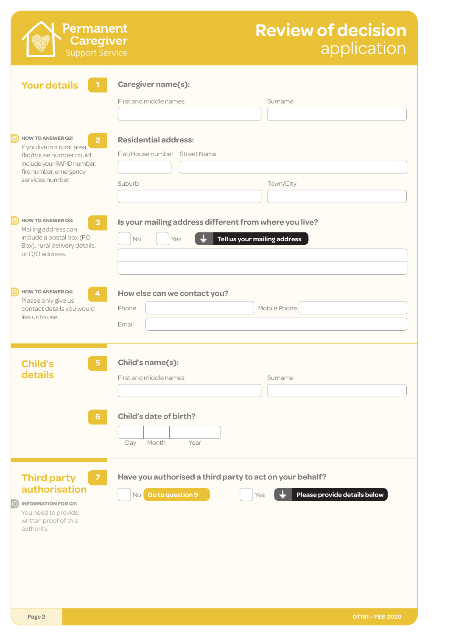| <b>Review of decision</b> |             |
|---------------------------|-------------|
|                           | application |

|                                                                                                                                                                                   | application                                                                                                            |
|-----------------------------------------------------------------------------------------------------------------------------------------------------------------------------------|------------------------------------------------------------------------------------------------------------------------|
| <b>Your details</b><br>$\mathbf{1}$                                                                                                                                               | Caregiver name(s):<br>First and middle names<br>Surname                                                                |
| <b>HOW TO ANSWER Q2:</b><br>$\overline{2}$<br>If you live in a rural area,<br>flat/house number could<br>include your RAPID number,<br>fire number, emergency<br>services number. | <b>Residential address:</b><br>Flat/House number Street Name<br>Suburb<br>Town/City                                    |
| <b>HOW TO ANSWER Q3:</b><br>3<br>Mailing address can<br>include a postal box (PO<br>Box), rural delivery details,<br>or C/O address.                                              | Is your mailing address different from where you live?<br>Tell us your mailing address<br>No<br>Yes                    |
| <b>HOW TO ANSWER Q4:</b><br>$\overline{4}$<br>Please only give us<br>contact details you would<br>like us to use.                                                                 | How else can we contact you?<br>Mobile Phone<br>Phone<br>Email                                                         |
| <b>Child's</b><br>$5\phantom{.}$<br>details                                                                                                                                       | Child's name(s):<br>First and middle names<br>Surname                                                                  |
| $6\phantom{1}$                                                                                                                                                                    | Child's date of birth?<br>Month<br>Day<br>Year                                                                         |
| <b>Third party</b><br>$\overline{7}$<br>authorisation<br><b>INFORMATION FOR Q7:</b><br>$\odot$<br>You need to provide<br>written proof of this<br>authority.                      | Have you authorised a third party to act on your behalf?<br>No Go to question 9<br>Please provide details below<br>Yes |
| Page 2                                                                                                                                                                            | OT181-FEB 2020                                                                                                         |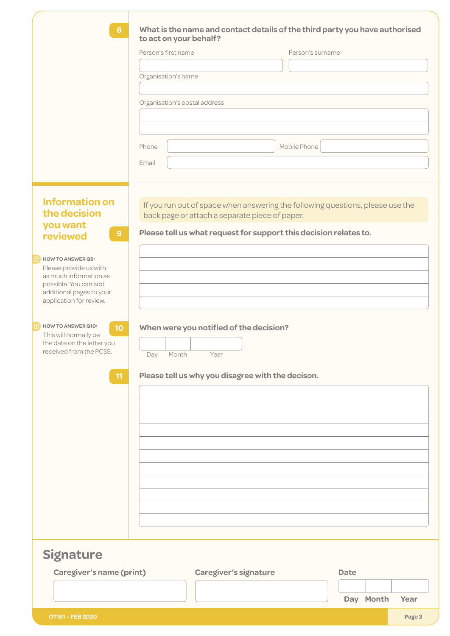| 8<br>What is the name and contact details of the third party you have authorised<br>to act on your behalf?<br>Person's first name<br>Person's surname<br>Organisation's name<br>Organisation's postal address<br>Mobile Phone<br>Phone<br>Email<br><b>Information on</b><br>If you run out of space when answering the following questions, please use the<br>the decision<br>back page or attach a separate piece of paper.<br>you want<br>Please tell us what request for support this decision relates to.<br>9 <sup>°</sup><br>reviewed<br><b>HOW TO ANSWER Q9:</b><br>Please provide us with<br>as much information as<br>possible. You can add<br>additional pages to your<br>application for review.<br><b>HOW TO ANSWER Q10:</b><br>When were you notified of the decision?<br>10<br>This will normally be<br>the date on the letter you<br>received from the PCSS.<br>Month<br>Year<br>Day<br>Please tell us why you disagree with the decison.<br>11<br><b>Signature</b><br>Caregiver's name (print)<br><b>Caregiver's signature</b><br><b>Date</b><br>Day Month<br>Year |  |
|------------------------------------------------------------------------------------------------------------------------------------------------------------------------------------------------------------------------------------------------------------------------------------------------------------------------------------------------------------------------------------------------------------------------------------------------------------------------------------------------------------------------------------------------------------------------------------------------------------------------------------------------------------------------------------------------------------------------------------------------------------------------------------------------------------------------------------------------------------------------------------------------------------------------------------------------------------------------------------------------------------------------------------------------------------------------------------|--|
|                                                                                                                                                                                                                                                                                                                                                                                                                                                                                                                                                                                                                                                                                                                                                                                                                                                                                                                                                                                                                                                                                    |  |
|                                                                                                                                                                                                                                                                                                                                                                                                                                                                                                                                                                                                                                                                                                                                                                                                                                                                                                                                                                                                                                                                                    |  |
|                                                                                                                                                                                                                                                                                                                                                                                                                                                                                                                                                                                                                                                                                                                                                                                                                                                                                                                                                                                                                                                                                    |  |
|                                                                                                                                                                                                                                                                                                                                                                                                                                                                                                                                                                                                                                                                                                                                                                                                                                                                                                                                                                                                                                                                                    |  |
|                                                                                                                                                                                                                                                                                                                                                                                                                                                                                                                                                                                                                                                                                                                                                                                                                                                                                                                                                                                                                                                                                    |  |
|                                                                                                                                                                                                                                                                                                                                                                                                                                                                                                                                                                                                                                                                                                                                                                                                                                                                                                                                                                                                                                                                                    |  |
|                                                                                                                                                                                                                                                                                                                                                                                                                                                                                                                                                                                                                                                                                                                                                                                                                                                                                                                                                                                                                                                                                    |  |
|                                                                                                                                                                                                                                                                                                                                                                                                                                                                                                                                                                                                                                                                                                                                                                                                                                                                                                                                                                                                                                                                                    |  |
|                                                                                                                                                                                                                                                                                                                                                                                                                                                                                                                                                                                                                                                                                                                                                                                                                                                                                                                                                                                                                                                                                    |  |
|                                                                                                                                                                                                                                                                                                                                                                                                                                                                                                                                                                                                                                                                                                                                                                                                                                                                                                                                                                                                                                                                                    |  |
|                                                                                                                                                                                                                                                                                                                                                                                                                                                                                                                                                                                                                                                                                                                                                                                                                                                                                                                                                                                                                                                                                    |  |
|                                                                                                                                                                                                                                                                                                                                                                                                                                                                                                                                                                                                                                                                                                                                                                                                                                                                                                                                                                                                                                                                                    |  |
|                                                                                                                                                                                                                                                                                                                                                                                                                                                                                                                                                                                                                                                                                                                                                                                                                                                                                                                                                                                                                                                                                    |  |
|                                                                                                                                                                                                                                                                                                                                                                                                                                                                                                                                                                                                                                                                                                                                                                                                                                                                                                                                                                                                                                                                                    |  |
|                                                                                                                                                                                                                                                                                                                                                                                                                                                                                                                                                                                                                                                                                                                                                                                                                                                                                                                                                                                                                                                                                    |  |
|                                                                                                                                                                                                                                                                                                                                                                                                                                                                                                                                                                                                                                                                                                                                                                                                                                                                                                                                                                                                                                                                                    |  |
|                                                                                                                                                                                                                                                                                                                                                                                                                                                                                                                                                                                                                                                                                                                                                                                                                                                                                                                                                                                                                                                                                    |  |
|                                                                                                                                                                                                                                                                                                                                                                                                                                                                                                                                                                                                                                                                                                                                                                                                                                                                                                                                                                                                                                                                                    |  |
|                                                                                                                                                                                                                                                                                                                                                                                                                                                                                                                                                                                                                                                                                                                                                                                                                                                                                                                                                                                                                                                                                    |  |
|                                                                                                                                                                                                                                                                                                                                                                                                                                                                                                                                                                                                                                                                                                                                                                                                                                                                                                                                                                                                                                                                                    |  |
|                                                                                                                                                                                                                                                                                                                                                                                                                                                                                                                                                                                                                                                                                                                                                                                                                                                                                                                                                                                                                                                                                    |  |
|                                                                                                                                                                                                                                                                                                                                                                                                                                                                                                                                                                                                                                                                                                                                                                                                                                                                                                                                                                                                                                                                                    |  |
|                                                                                                                                                                                                                                                                                                                                                                                                                                                                                                                                                                                                                                                                                                                                                                                                                                                                                                                                                                                                                                                                                    |  |
|                                                                                                                                                                                                                                                                                                                                                                                                                                                                                                                                                                                                                                                                                                                                                                                                                                                                                                                                                                                                                                                                                    |  |
|                                                                                                                                                                                                                                                                                                                                                                                                                                                                                                                                                                                                                                                                                                                                                                                                                                                                                                                                                                                                                                                                                    |  |
|                                                                                                                                                                                                                                                                                                                                                                                                                                                                                                                                                                                                                                                                                                                                                                                                                                                                                                                                                                                                                                                                                    |  |
|                                                                                                                                                                                                                                                                                                                                                                                                                                                                                                                                                                                                                                                                                                                                                                                                                                                                                                                                                                                                                                                                                    |  |
|                                                                                                                                                                                                                                                                                                                                                                                                                                                                                                                                                                                                                                                                                                                                                                                                                                                                                                                                                                                                                                                                                    |  |
|                                                                                                                                                                                                                                                                                                                                                                                                                                                                                                                                                                                                                                                                                                                                                                                                                                                                                                                                                                                                                                                                                    |  |
|                                                                                                                                                                                                                                                                                                                                                                                                                                                                                                                                                                                                                                                                                                                                                                                                                                                                                                                                                                                                                                                                                    |  |
|                                                                                                                                                                                                                                                                                                                                                                                                                                                                                                                                                                                                                                                                                                                                                                                                                                                                                                                                                                                                                                                                                    |  |
|                                                                                                                                                                                                                                                                                                                                                                                                                                                                                                                                                                                                                                                                                                                                                                                                                                                                                                                                                                                                                                                                                    |  |
|                                                                                                                                                                                                                                                                                                                                                                                                                                                                                                                                                                                                                                                                                                                                                                                                                                                                                                                                                                                                                                                                                    |  |
|                                                                                                                                                                                                                                                                                                                                                                                                                                                                                                                                                                                                                                                                                                                                                                                                                                                                                                                                                                                                                                                                                    |  |
|                                                                                                                                                                                                                                                                                                                                                                                                                                                                                                                                                                                                                                                                                                                                                                                                                                                                                                                                                                                                                                                                                    |  |
|                                                                                                                                                                                                                                                                                                                                                                                                                                                                                                                                                                                                                                                                                                                                                                                                                                                                                                                                                                                                                                                                                    |  |
|                                                                                                                                                                                                                                                                                                                                                                                                                                                                                                                                                                                                                                                                                                                                                                                                                                                                                                                                                                                                                                                                                    |  |
|                                                                                                                                                                                                                                                                                                                                                                                                                                                                                                                                                                                                                                                                                                                                                                                                                                                                                                                                                                                                                                                                                    |  |
|                                                                                                                                                                                                                                                                                                                                                                                                                                                                                                                                                                                                                                                                                                                                                                                                                                                                                                                                                                                                                                                                                    |  |
|                                                                                                                                                                                                                                                                                                                                                                                                                                                                                                                                                                                                                                                                                                                                                                                                                                                                                                                                                                                                                                                                                    |  |
|                                                                                                                                                                                                                                                                                                                                                                                                                                                                                                                                                                                                                                                                                                                                                                                                                                                                                                                                                                                                                                                                                    |  |
|                                                                                                                                                                                                                                                                                                                                                                                                                                                                                                                                                                                                                                                                                                                                                                                                                                                                                                                                                                                                                                                                                    |  |
|                                                                                                                                                                                                                                                                                                                                                                                                                                                                                                                                                                                                                                                                                                                                                                                                                                                                                                                                                                                                                                                                                    |  |
|                                                                                                                                                                                                                                                                                                                                                                                                                                                                                                                                                                                                                                                                                                                                                                                                                                                                                                                                                                                                                                                                                    |  |
|                                                                                                                                                                                                                                                                                                                                                                                                                                                                                                                                                                                                                                                                                                                                                                                                                                                                                                                                                                                                                                                                                    |  |
|                                                                                                                                                                                                                                                                                                                                                                                                                                                                                                                                                                                                                                                                                                                                                                                                                                                                                                                                                                                                                                                                                    |  |
|                                                                                                                                                                                                                                                                                                                                                                                                                                                                                                                                                                                                                                                                                                                                                                                                                                                                                                                                                                                                                                                                                    |  |
|                                                                                                                                                                                                                                                                                                                                                                                                                                                                                                                                                                                                                                                                                                                                                                                                                                                                                                                                                                                                                                                                                    |  |